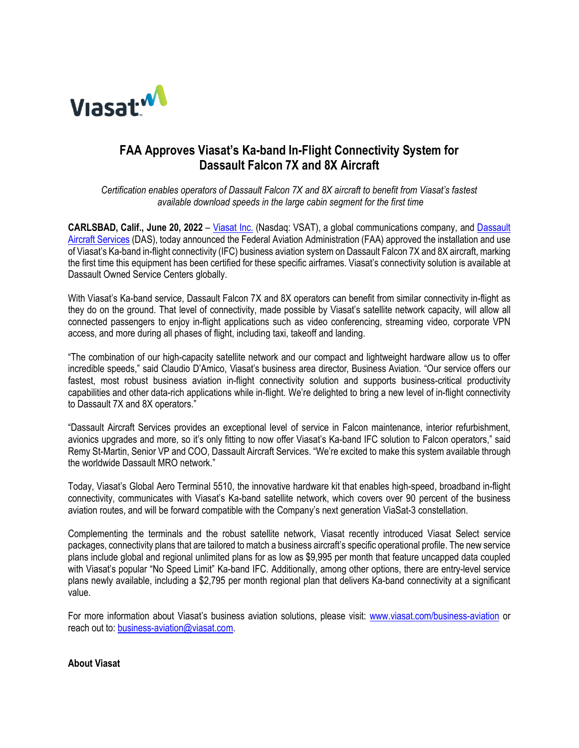

# **FAA Approves Viasat's Ka-band In-Flight Connectivity System for Dassault Falcon 7X and 8X Aircraft**

*Certification enables operators of Dassault Falcon 7X and 8X aircraft to benefit from Viasat's fastest available download speeds in the large cabin segment for the first time*

**CARLSBAD, Calif., June 20, 2022** – [Viasat Inc.](http://www.viasat.com/) (Nasdaq: VSAT), a global communications company, and [Dassault](https://das.falconjet.com/apex/f?p=2000:2::::::)  [Aircraft Services](https://das.falconjet.com/apex/f?p=2000:2::::::) (DAS), today announced the Federal Aviation Administration (FAA) approved the installation and use of Viasat's Ka-band in-flight connectivity (IFC) business aviation system on Dassault Falcon 7X and 8X aircraft, marking the first time this equipment has been certified for these specific airframes. Viasat's connectivity solution is available at Dassault Owned Service Centers globally.

With Viasat's Ka-band service, Dassault Falcon 7X and 8X operators can benefit from similar connectivity in-flight as they do on the ground. That level of connectivity, made possible by Viasat's satellite network capacity, will allow all connected passengers to enjoy in-flight applications such as video conferencing, streaming video, corporate VPN access, and more during all phases of flight, including taxi, takeoff and landing.

"The combination of our high-capacity satellite network and our compact and lightweight hardware allow us to offer incredible speeds," said Claudio D'Amico, Viasat's business area director, Business Aviation. "Our service offers our fastest, most robust business aviation in-flight connectivity solution and supports business-critical productivity capabilities and other data-rich applications while in-flight. We're delighted to bring a new level of in-flight connectivity to Dassault 7X and 8X operators."

"Dassault Aircraft Services provides an exceptional level of service in Falcon maintenance, interior refurbishment, avionics upgrades and more, so it's only fitting to now offer Viasat's Ka-band IFC solution to Falcon operators," said Remy St-Martin, Senior VP and COO, Dassault Aircraft Services. "We're excited to make this system available through the worldwide Dassault MRO network."

Today, Viasat's Global Aero Terminal 5510, the innovative hardware kit that enables high-speed, broadband in-flight connectivity, communicates with Viasat's Ka-band satellite network, which covers over 90 percent of the business aviation routes, and will be forward compatible with the Company's next generation ViaSat-3 constellation.

Complementing the terminals and the robust satellite network, Viasat recently introduced Viasat Select service packages, connectivity plans that are tailored to match a business aircraft's specific operational profile. The new service plans include global and regional unlimited plans for as low as \$9,995 per month that feature uncapped data coupled with Viasat's popular "No Speed Limit" Ka-band IFC. Additionally, among other options, there are entry-level service plans newly available, including a \$2,795 per month regional plan that delivers Ka-band connectivity at a significant value.

For more information about Viasat's business aviation solutions, please visit: [www.viasat.com/business-aviation](http://www.viasat.com/business-aviation) or reach out to[: business-aviation@viasat.com.](mailto:business-aviation@viasat.com)

## **About Viasat**